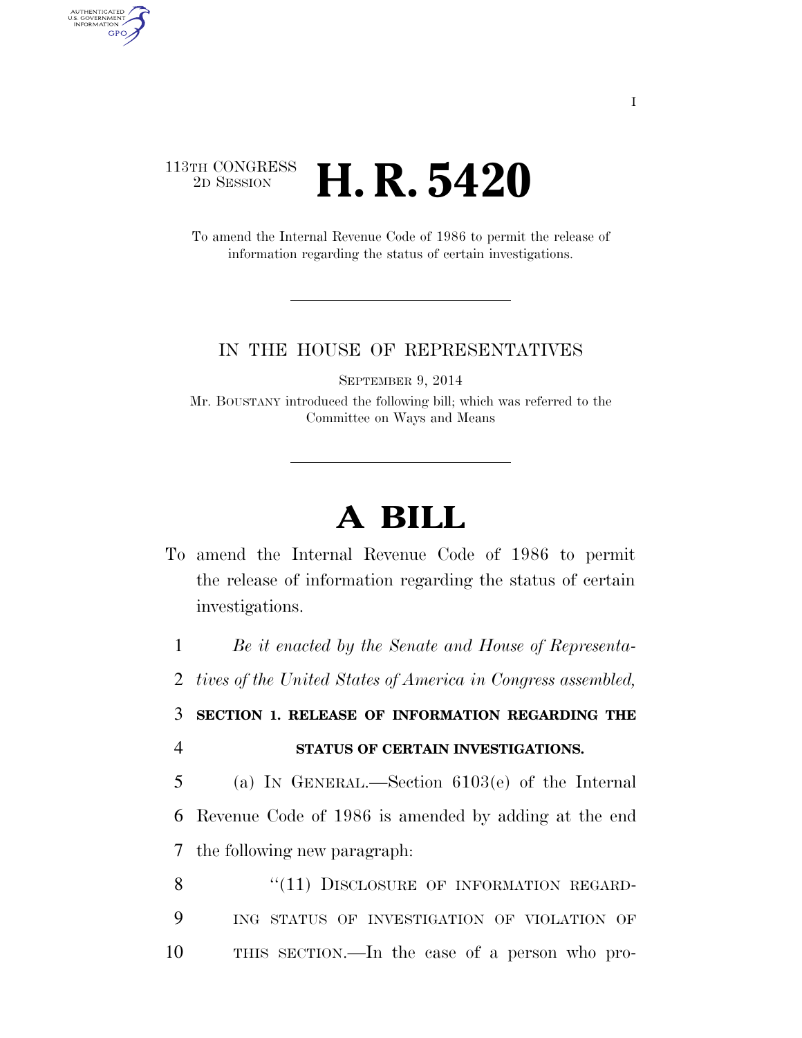## 113TH CONGRESS<br>2D SESSION 2D SESSION **H. R. 5420**

AUTHENTICATED<br>U.S. GOVERNMENT<br>INFORMATION **GPO** 

> To amend the Internal Revenue Code of 1986 to permit the release of information regarding the status of certain investigations.

## IN THE HOUSE OF REPRESENTATIVES

SEPTEMBER 9, 2014

Mr. BOUSTANY introduced the following bill; which was referred to the Committee on Ways and Means

## **A BILL**

To amend the Internal Revenue Code of 1986 to permit the release of information regarding the status of certain investigations.

1 *Be it enacted by the Senate and House of Representa-*

2 *tives of the United States of America in Congress assembled,* 

3 **SECTION 1. RELEASE OF INFORMATION REGARDING THE**  4 **STATUS OF CERTAIN INVESTIGATIONS.** 

5 (a) IN GENERAL.—Section 6103(e) of the Internal 6 Revenue Code of 1986 is amended by adding at the end 7 the following new paragraph:

8 "(11) DISCLOSURE OF INFORMATION REGARD-9 ING STATUS OF INVESTIGATION OF VIOLATION OF 10 THIS SECTION.—In the case of a person who pro-